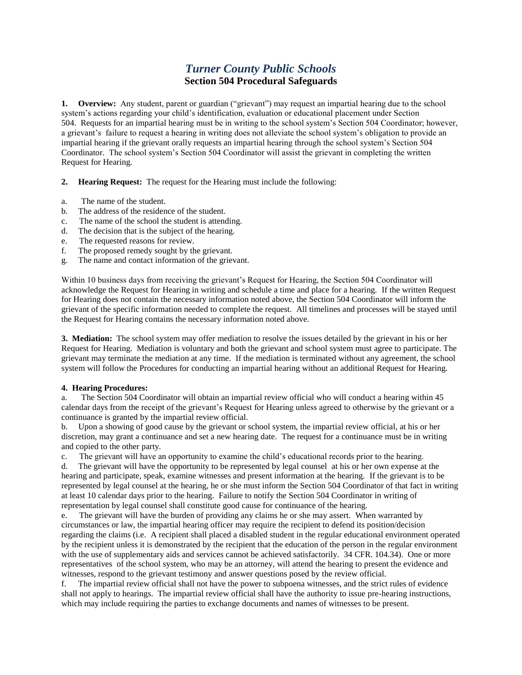## *Turner County Public Schools* **Section 504 Procedural Safeguards**

**1. Overview:** Any student, parent or guardian ("grievant") may request an impartial hearing due to the school system's actions regarding your child's identification, evaluation or educational placement under Section 504. Requests for an impartial hearing must be in writing to the school system's Section 504 Coordinator; however, a grievant's failure to request a hearing in writing does not alleviate the school system's obligation to provide an impartial hearing if the grievant orally requests an impartial hearing through the school system's Section 504 Coordinator. The school system's Section 504 Coordinator will assist the grievant in completing the written Request for Hearing.

**2. Hearing Request:** The request for the Hearing must include the following:

- a. The name of the student.
- b. The address of the residence of the student.
- c. The name of the school the student is attending.
- d. The decision that is the subject of the hearing.
- e. The requested reasons for review.
- f. The proposed remedy sought by the grievant.
- g. The name and contact information of the grievant.

Within 10 business days from receiving the grievant's Request for Hearing, the Section 504 Coordinator will acknowledge the Request for Hearing in writing and schedule a time and place for a hearing. If the written Request for Hearing does not contain the necessary information noted above, the Section 504 Coordinator will inform the grievant of the specific information needed to complete the request. All timelines and processes will be stayed until the Request for Hearing contains the necessary information noted above.

**3. Mediation:** The school system may offer mediation to resolve the issues detailed by the grievant in his or her Request for Hearing. Mediation is voluntary and both the grievant and school system must agree to participate. The grievant may terminate the mediation at any time. If the mediation is terminated without any agreement, the school system will follow the Procedures for conducting an impartial hearing without an additional Request for Hearing.

## **4. Hearing Procedures:**

a. The Section 504 Coordinator will obtain an impartial review official who will conduct a hearing within 45 calendar days from the receipt of the grievant's Request for Hearing unless agreed to otherwise by the grievant or a continuance is granted by the impartial review official.

b. Upon a showing of good cause by the grievant or school system, the impartial review official, at his or her discretion, may grant a continuance and set a new hearing date. The request for a continuance must be in writing and copied to the other party.

c. The grievant will have an opportunity to examine the child's educational records prior to the hearing.

d. The grievant will have the opportunity to be represented by legal counsel at his or her own expense at the hearing and participate, speak, examine witnesses and present information at the hearing. If the grievant is to be represented by legal counsel at the hearing, he or she must inform the Section 504 Coordinator of that fact in writing at least 10 calendar days prior to the hearing. Failure to notify the Section 504 Coordinator in writing of representation by legal counsel shall constitute good cause for continuance of the hearing.

e. The grievant will have the burden of providing any claims he or she may assert. When warranted by circumstances or law, the impartial hearing officer may require the recipient to defend its position/decision regarding the claims (i.e. A recipient shall placed a disabled student in the regular educational environment operated by the recipient unless it is demonstrated by the recipient that the education of the person in the regular environment with the use of supplementary aids and services cannot be achieved satisfactorily. 34 CFR. 104.34). One or more representatives of the school system, who may be an attorney, will attend the hearing to present the evidence and witnesses, respond to the grievant testimony and answer questions posed by the review official.

f. The impartial review official shall not have the power to subpoena witnesses, and the strict rules of evidence shall not apply to hearings. The impartial review official shall have the authority to issue pre-hearing instructions, which may include requiring the parties to exchange documents and names of witnesses to be present.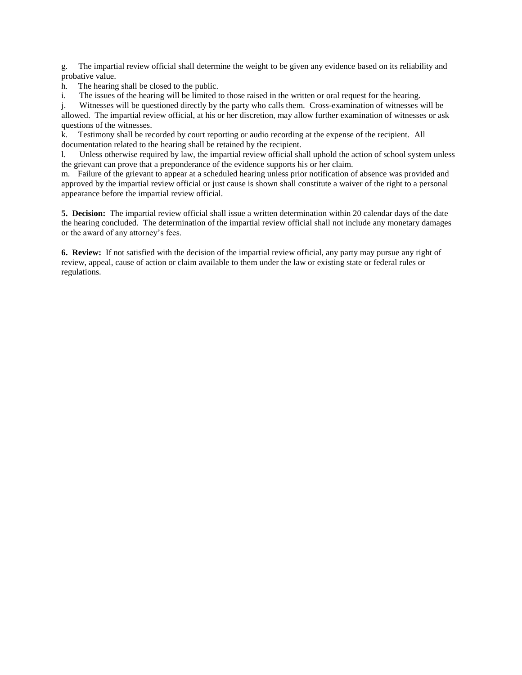g. The impartial review official shall determine the weight to be given any evidence based on its reliability and probative value.

h. The hearing shall be closed to the public.

i. The issues of the hearing will be limited to those raised in the written or oral request for the hearing.

j. Witnesses will be questioned directly by the party who calls them. Cross-examination of witnesses will be allowed. The impartial review official, at his or her discretion, may allow further examination of witnesses or ask questions of the witnesses.

k. Testimony shall be recorded by court reporting or audio recording at the expense of the recipient. All documentation related to the hearing shall be retained by the recipient.

l. Unless otherwise required by law, the impartial review official shall uphold the action of school system unless the grievant can prove that a preponderance of the evidence supports his or her claim.

m. Failure of the grievant to appear at a scheduled hearing unless prior notification of absence was provided and approved by the impartial review official or just cause is shown shall constitute a waiver of the right to a personal appearance before the impartial review official.

**5. Decision:** The impartial review official shall issue a written determination within 20 calendar days of the date the hearing concluded. The determination of the impartial review official shall not include any monetary damages or the award of any attorney's fees.

**6. Review:** If not satisfied with the decision of the impartial review official, any party may pursue any right of review, appeal, cause of action or claim available to them under the law or existing state or federal rules or regulations.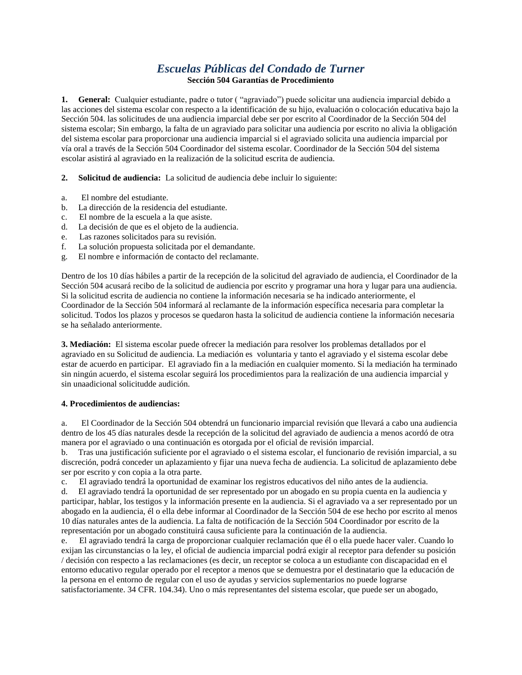## *Escuelas Públicas del Condado de Turner* **Sección 504 Garantías de Procedimiento**

**1. General:** Cualquier estudiante, padre o tutor ( "agraviado") puede solicitar una audiencia imparcial debido a las acciones del sistema escolar con respecto a la identificación de su hijo, evaluación o colocación educativa bajo la Sección 504. las solicitudes de una audiencia imparcial debe ser por escrito al Coordinador de la Sección 504 del sistema escolar; Sin embargo, la falta de un agraviado para solicitar una audiencia por escrito no alivia la obligación del sistema escolar para proporcionar una audiencia imparcial si el agraviado solicita una audiencia imparcial por vía oral a través de la Sección 504 Coordinador del sistema escolar. Coordinador de la Sección 504 del sistema escolar asistirá al agraviado en la realización de la solicitud escrita de audiencia.

**2. Solicitud de audiencia:** La solicitud de audiencia debe incluir lo siguiente:

- a. El nombre del estudiante.
- b. La dirección de la residencia del estudiante.
- c. El nombre de la escuela a la que asiste.
- d. La decisión de que es el objeto de la audiencia.
- e. Las razones solicitados para su revisión.
- f. La solución propuesta solicitada por el demandante.
- g. El nombre e información de contacto del reclamante.

Dentro de los 10 días hábiles a partir de la recepción de la solicitud del agraviado de audiencia, el Coordinador de la Sección 504 acusará recibo de la solicitud de audiencia por escrito y programar una hora y lugar para una audiencia. Si la solicitud escrita de audiencia no contiene la información necesaria se ha indicado anteriormente, el Coordinador de la Sección 504 informará al reclamante de la información específica necesaria para completar la solicitud. Todos los plazos y procesos se quedaron hasta la solicitud de audiencia contiene la información necesaria se ha señalado anteriormente.

**3. Mediación:** El sistema escolar puede ofrecer la mediación para resolver los problemas detallados por el agraviado en su Solicitud de audiencia. La mediación es voluntaria y tanto el agraviado y el sistema escolar debe estar de acuerdo en participar. El agraviado fin a la mediación en cualquier momento. Si la mediación ha terminado sin ningún acuerdo, el sistema escolar seguirá los procedimientos para la realización de una audiencia imparcial y sin unaadicional solicitudde audición.

## **4. Procedimientos de audiencias:**

a. El Coordinador de la Sección 504 obtendrá un funcionario imparcial revisión que llevará a cabo una audiencia dentro de los 45 días naturales desde la recepción de la solicitud del agraviado de audiencia a menos acordó de otra manera por el agraviado o una continuación es otorgada por el oficial de revisión imparcial.

b. Tras una justificación suficiente por el agraviado o el sistema escolar, el funcionario de revisión imparcial, a su discreción, podrá conceder un aplazamiento y fijar una nueva fecha de audiencia. La solicitud de aplazamiento debe ser por escrito y con copia a la otra parte.

c. El agraviado tendrá la oportunidad de examinar los registros educativos del niño antes de la audiencia.

d. El agraviado tendrá la oportunidad de ser representado por un abogado en su propia cuenta en la audiencia y participar, hablar, los testigos y la información presente en la audiencia. Si el agraviado va a ser representado por un abogado en la audiencia, él o ella debe informar al Coordinador de la Sección 504 de ese hecho por escrito al menos 10 días naturales antes de la audiencia. La falta de notificación de la Sección 504 Coordinador por escrito de la representación por un abogado constituirá causa suficiente para la continuación de la audiencia.

e. El agraviado tendrá la carga de proporcionar cualquier reclamación que él o ella puede hacer valer. Cuando lo exijan las circunstancias o la ley, el oficial de audiencia imparcial podrá exigir al receptor para defender su posición / decisión con respecto a las reclamaciones (es decir, un receptor se coloca a un estudiante con discapacidad en el entorno educativo regular operado por el receptor a menos que se demuestra por el destinatario que la educación de la persona en el entorno de regular con el uso de ayudas y servicios suplementarios no puede lograrse satisfactoriamente. 34 CFR. 104.34). Uno o más representantes del sistema escolar, que puede ser un abogado,